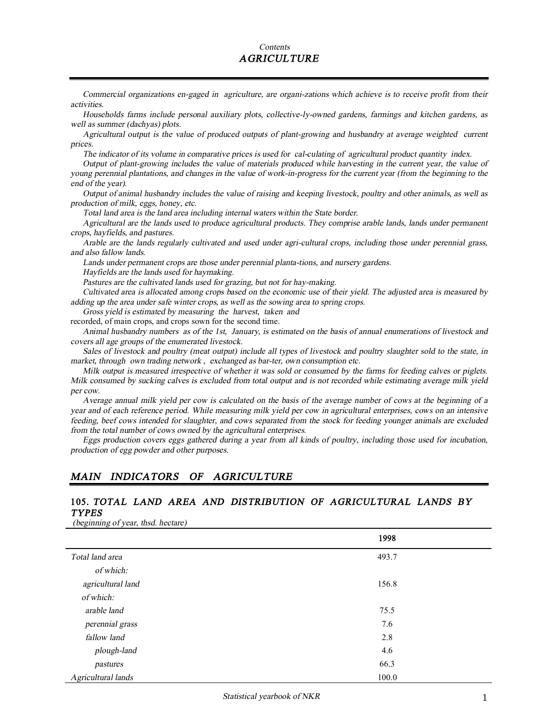#### *Contents AGRICULTURE*

*Commercial organizations en-gaged in agriculture, are organi-zations which achieve is to receive profit from their activities.* 

*Households farms include personal auxiliary plots, collective-ly-owned gardens, farmings and kitchen gardens, as well as summer (dachyas) plots.* 

*Agricultural output is the value of produced outputs of plant-growing and husbandry at average weighted current prices.* 

The indicator of its volume in comparative prices is used for cal-culating of agricultural product quantity index.

Output of plant-growing includes the value of materials produced while harvesting in the current year, the value of young perennial plantations, and changes in the value of work-in-progress for the current year (from the beginning to the *end of the year).* 

Output of animal husbandry includes the value of raising and keeping livestock, poultry and other animals, as well as *production of milk, eggs, honey, etc.* 

*Total land area is the land area including internal waters within the State border.* 

*Agricultural are the lands used to produce agricultural products. They comprise arable lands, lands under permanent crops, hayfields, and pastures.* 

Arable are the lands regularly cultivated and used under agri-cultural crops, including those under perennial grass, *and also fallow lands.* 

*Lands under permanent crops are those under perennial planta-tions, and nursery gardens.* 

*Hayfields are the lands used for haymaking.* 

*Pastures are the cultivated lands used for grazing, but not for hay-making.* 

Cultivated area is allocated among crops based on the economic use of their yield. The adjusted area is measured by *adding up the area under safe winter crops, as well as the sowing area to spring crops.* 

*Gross yield is estimated by measuring the harvest, taken and* 

recorded, of main crops, and crops sown for the second time.

Animal husbandry numbers as of the 1st, January, is estimated on the basis of annual enumerations of livestock and *covers all age groups of the enumerated livestock.* 

Sales of livestock and poultry (meat output) include all types of livestock and poultry slaughter sold to the state, in *market, through own trading network , exchanged as bar-ter, own consumption etc.* 

Milk output is measured irrespective of whether it was sold or consumed by the farms for feeding calves or piglets. Milk consumed by sucking calves is excluded from total output and is not recorded while estimating average milk yield *per cow.* 

Average annual milk yield per cow is calculated on the basis of the average number of cows at the beginning of a year and of each reference period. While measuring milk yield per cow in agricultural enterprises, cows on an intensive feeding, beef cows intended for slaughter, and cows separated from the stock for feeding younger animals are excluded *from the total number of cows owned by the agricultural enterprises.* 

Eggs production covers eggs gathered during a year from all kinds of poultry, including those used for incubation, *production of egg powder and other purposes.* 

#### *MAIN INDICATORS OF AGRICULTURE*

#### **105.** *TOTAL LAND AREA AND DISTRIBUTION OF AGRICULTURAL LANDS BY TYPES*

*(beginning of year, thsd. hectare)*

|                    | 1998  |  |
|--------------------|-------|--|
| Total land area    | 493.7 |  |
| of which:          |       |  |
| agricultural land  | 156.8 |  |
| of which:          |       |  |
| arable land        | 75.5  |  |
| perennial grass    | 7.6   |  |
| fallow land        | 2.8   |  |
| plough-land        | 4.6   |  |
| pastures           | 66.3  |  |
| Agricultural lands | 100.0 |  |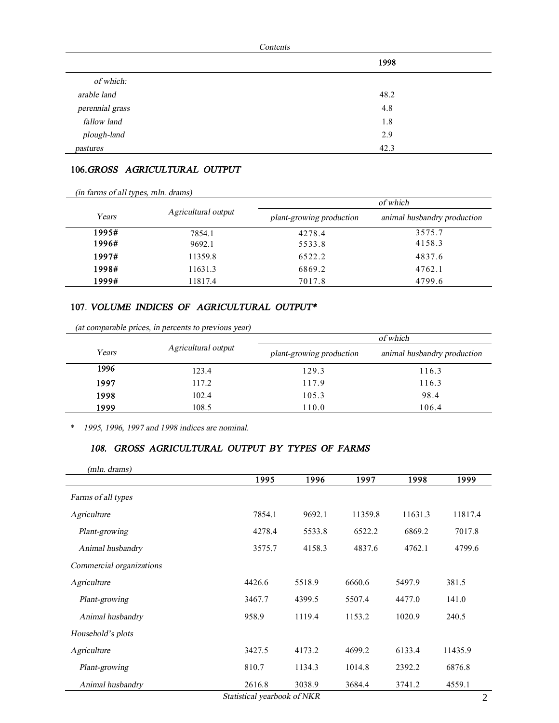|                 | Contents |
|-----------------|----------|
|                 | 1998     |
| of which:       |          |
| arable land     | 48.2     |
| perennial grass | 4.8      |
| fallow land     | 1.8      |
| plough-land     | 2.9      |
| pastures        | 42.3     |

#### **106.***GROSS AGRICULTURAL OUTPUT*

| (in farms of all types, mln. drams) |                     |                          |                             |  |  |  |
|-------------------------------------|---------------------|--------------------------|-----------------------------|--|--|--|
|                                     |                     |                          | of which                    |  |  |  |
| Years                               | Agricultural output | plant-growing production | animal husbandry production |  |  |  |
| 1995#                               | 7854.1              | 4278.4                   | 3575.7                      |  |  |  |
| 1996#                               | 9692.1              | 5533.8                   | 4158.3                      |  |  |  |
| 1997#                               | 11359.8             | 6522.2                   | 4837.6                      |  |  |  |
| 1998#                               | 11631.3             | 6869.2                   | 4762.1                      |  |  |  |
| 1999#                               | 11817.4             | 7017.8                   | 4799.6                      |  |  |  |

### **107***. VOLUME INDICES OF AGRICULTURAL OUTPUT\**

|       |                     |                          | of which                    |
|-------|---------------------|--------------------------|-----------------------------|
| Years | Agricultural output | plant-growing production | animal husbandry production |
| 1996  | 123.4               | 129.3                    | 116.3                       |
| 1997  | 117.2               | 117.9                    | 116.3                       |
| 1998  | 102.4               | 105.3                    | 98.4                        |
| 1999  | 108.5               | 110.0                    | 106.4                       |

*(at comparable prices, in percents to previous year)*

\* *1995, 1996, <sup>1997</sup> and <sup>1998</sup> indices are nominal.* 

### *108. GROSS AGRICULTURAL OUTPUT BY TYPES OF FARMS*

| (mln. drams)             |        |        |         |         |         |
|--------------------------|--------|--------|---------|---------|---------|
|                          | 1995   | 1996   | 1997    | 1998    | 1999    |
| Farms of all types       |        |        |         |         |         |
| Agriculture              | 7854.1 | 9692.1 | 11359.8 | 11631.3 | 11817.4 |
| Plant-growing            | 4278.4 | 5533.8 | 6522.2  | 6869.2  | 7017.8  |
| Animal husbandry         | 3575.7 | 4158.3 | 4837.6  | 4762.1  | 4799.6  |
| Commercial organizations |        |        |         |         |         |
| Agriculture              | 4426.6 | 5518.9 | 6660.6  | 5497.9  | 381.5   |
| Plant-growing            | 3467.7 | 4399.5 | 5507.4  | 4477.0  | 141.0   |
| Animal husbandry         | 958.9  | 1119.4 | 1153.2  | 1020.9  | 240.5   |
| Household's plots        |        |        |         |         |         |
| Agriculture              | 3427.5 | 4173.2 | 4699.2  | 6133.4  | 11435.9 |
| Plant-growing            | 810.7  | 1134.3 | 1014.8  | 2392.2  | 6876.8  |
| Animal husbandry         | 2616.8 | 3038.9 | 3684.4  | 3741.2  | 4559.1  |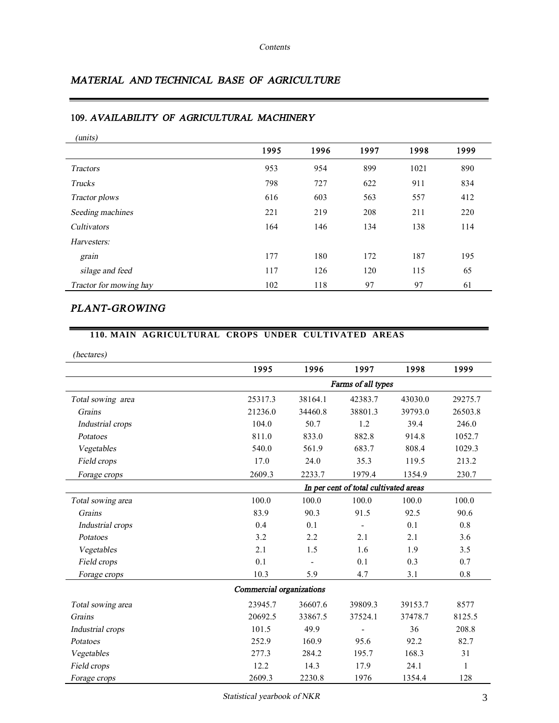### *MATERIAL AND TECHNICAL BASE OF AGRICULTURE*

# *(units)*  **1995 1996 1997 1998 1999**  *Tractors* 953 954 899 1021 890 *Trucks* 798 727 622 911 834 *Tractor plows* 616 603 563 557 412 **Seeding machines** 221 219 208 211 220 *Cultivators* 164 146 134 138 114 *Harvesters: grain* 177 180 172 187 195 *silage* and *feed* 117 126 120 115 65 *Tractor for mowing hay* 102 118 97 97 61

#### **109.** *AVAILABILITY OF AGRICULTURAL MACHINERY*

## *PLANT-GROWING*

#### **110. MAIN AGRICULTURAL CROPS UNDER CULTIVATED AREAS**

*(hectares)*

|                   | 1995                                  | 1996           | 1997    | 1998    | 1999    |  |
|-------------------|---------------------------------------|----------------|---------|---------|---------|--|
|                   | Farms of all types                    |                |         |         |         |  |
| Total sowing area | 25317.3                               | 38164.1        | 42383.7 | 43030.0 | 29275.7 |  |
| Grains            | 21236.0                               | 34460.8        | 38801.3 | 39793.0 | 26503.8 |  |
| Industrial crops  | 104.0                                 | 50.7           | 1.2     | 39.4    | 246.0   |  |
| Potatoes          | 811.0                                 | 833.0          | 882.8   | 914.8   | 1052.7  |  |
| Vegetables        | 540.0                                 | 561.9          | 683.7   | 808.4   | 1029.3  |  |
| Field crops       | 17.0                                  | 24.0           | 35.3    | 119.5   | 213.2   |  |
| Forage crops      | 2609.3                                | 2233.7         | 1979.4  | 1354.9  | 230.7   |  |
|                   | In per cent of total cultivated areas |                |         |         |         |  |
| Total sowing area | 100.0                                 | 100.0          | 100.0   | 100.0   | 100.0   |  |
| Grains            | 83.9                                  | 90.3           | 91.5    | 92.5    | 90.6    |  |
| Industrial crops  | 0.4                                   | 0.1            |         | 0.1     | 0.8     |  |
| Potatoes          | 3.2                                   | 2.2            | 2.1     | 2.1     | 3.6     |  |
| Vegetables        | 2.1                                   | 1.5            | 1.6     | 1.9     | 3.5     |  |
| Field crops       | 0.1                                   | $\blacksquare$ | 0.1     | 0.3     | 0.7     |  |
| Forage crops      | 10.3                                  | 5.9            | 4.7     | 3.1     | 0.8     |  |
|                   | Commercial organizations              |                |         |         |         |  |
| Total sowing area | 23945.7                               | 36607.6        | 39809.3 | 39153.7 | 8577    |  |
| Grains            | 20692.5                               | 33867.5        | 37524.1 | 37478.7 | 8125.5  |  |
| Industrial crops  | 101.5                                 | 49.9           |         | 36      | 208.8   |  |
| Potatoes          | 252.9                                 | 160.9          | 95.6    | 92.2    | 82.7    |  |
| Vegetables        | 277.3                                 | 284.2          | 195.7   | 168.3   | 31      |  |
| Field crops       | 12.2                                  | 14.3           | 17.9    | 24.1    | 1       |  |
| Forage crops      | 2609.3                                | 2230.8         | 1976    | 1354.4  | 128     |  |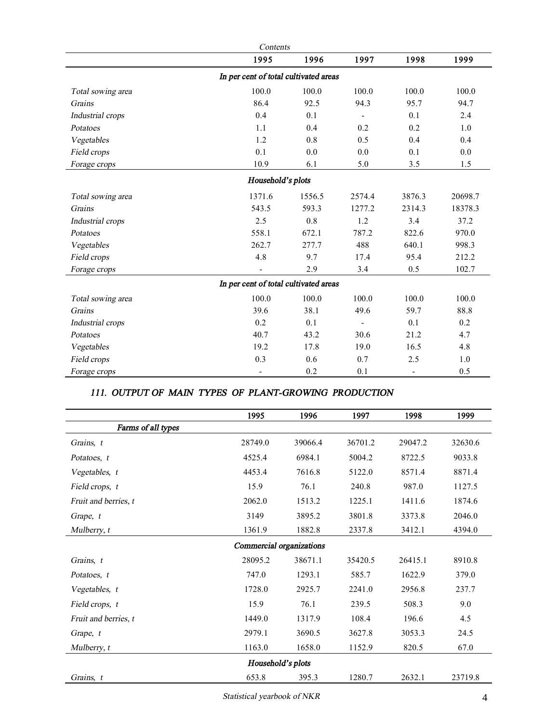| Contents          |                                       |        |                |                          |         |
|-------------------|---------------------------------------|--------|----------------|--------------------------|---------|
|                   | 1995                                  | 1996   | 1997           | 1998                     | 1999    |
|                   | In per cent of total cultivated areas |        |                |                          |         |
| Total sowing area | 100.0                                 | 100.0  | 100.0          | 100.0                    | 100.0   |
| Grains            | 86.4                                  | 92.5   | 94.3           | 95.7                     | 94.7    |
| Industrial crops  | 0.4                                   | 0.1    | $\blacksquare$ | 0.1                      | 2.4     |
| Potatoes          | 1.1                                   | 0.4    | 0.2            | 0.2                      | 1.0     |
| Vegetables        | 1.2                                   | 0.8    | 0.5            | 0.4                      | 0.4     |
| Field crops       | 0.1                                   | 0.0    | 0.0            | 0.1                      | 0.0     |
| Forage crops      | 10.9                                  | 6.1    | 5.0            | 3.5                      | 1.5     |
|                   | Household's plots                     |        |                |                          |         |
| Total sowing area | 1371.6                                | 1556.5 | 2574.4         | 3876.3                   | 20698.7 |
| Grains            | 543.5                                 | 593.3  | 1277.2         | 2314.3                   | 18378.3 |
| Industrial crops  | 2.5                                   | 0.8    | 1.2            | 3.4                      | 37.2    |
| Potatoes          | 558.1                                 | 672.1  | 787.2          | 822.6                    | 970.0   |
| Vegetables        | 262.7                                 | 277.7  | 488            | 640.1                    | 998.3   |
| Field crops       | 4.8                                   | 9.7    | 17.4           | 95.4                     | 212.2   |
| Forage crops      |                                       | 2.9    | 3.4            | 0.5                      | 102.7   |
|                   | In per cent of total cultivated areas |        |                |                          |         |
| Total sowing area | 100.0                                 | 100.0  | 100.0          | 100.0                    | 100.0   |
| Grains            | 39.6                                  | 38.1   | 49.6           | 59.7                     | 88.8    |
| Industrial crops  | 0.2                                   | 0.1    |                | 0.1                      | 0.2     |
| Potatoes          | 40.7                                  | 43.2   | 30.6           | 21.2                     | 4.7     |
| Vegetables        | 19.2                                  | 17.8   | 19.0           | 16.5                     | 4.8     |
| Field crops       | 0.3                                   | 0.6    | 0.7            | 2.5                      | 1.0     |
| Forage crops      | $\overline{\phantom{a}}$              | 0.2    | 0.1            | $\overline{\phantom{a}}$ | 0.5     |

### *111. OUTPUT OF MAIN TYPES OF PLANT-GROWING PRODUCTION*

|                      | 1995                     | 1996    | 1997    | 1998    | 1999    |
|----------------------|--------------------------|---------|---------|---------|---------|
| Farms of all types   |                          |         |         |         |         |
| Grains, t            | 28749.0                  | 39066.4 | 36701.2 | 29047.2 | 32630.6 |
| Potatoes, t          | 4525.4                   | 6984.1  | 5004.2  | 8722.5  | 9033.8  |
| Vegetables, t        | 4453.4                   | 7616.8  | 5122.0  | 8571.4  | 8871.4  |
| Field crops, t       | 15.9                     | 76.1    | 240.8   | 987.0   | 1127.5  |
| Fruit and berries, t | 2062.0                   | 1513.2  | 1225.1  | 1411.6  | 1874.6  |
| Grape, $t$           | 3149                     | 3895.2  | 3801.8  | 3373.8  | 2046.0  |
| Mulberry, t          | 1361.9                   | 1882.8  | 2337.8  | 3412.1  | 4394.0  |
|                      | Commercial organizations |         |         |         |         |
| Grains, t            | 28095.2                  | 38671.1 | 35420.5 | 26415.1 | 8910.8  |
| Potatoes, t          | 747.0                    | 1293.1  | 585.7   | 1622.9  | 379.0   |
| Vegetables, t        | 1728.0                   | 2925.7  | 2241.0  | 2956.8  | 237.7   |
| Field crops, t       | 15.9                     | 76.1    | 239.5   | 508.3   | 9.0     |
| Fruit and berries, t | 1449.0                   | 1317.9  | 108.4   | 196.6   | 4.5     |
| Grape, $t$           | 2979.1                   | 3690.5  | 3627.8  | 3053.3  | 24.5    |
| Mulberry, t          | 1163.0                   | 1658.0  | 1152.9  | 820.5   | 67.0    |
|                      | Household's plots        |         |         |         |         |
| Grains, t            | 653.8                    | 395.3   | 1280.7  | 2632.1  | 23719.8 |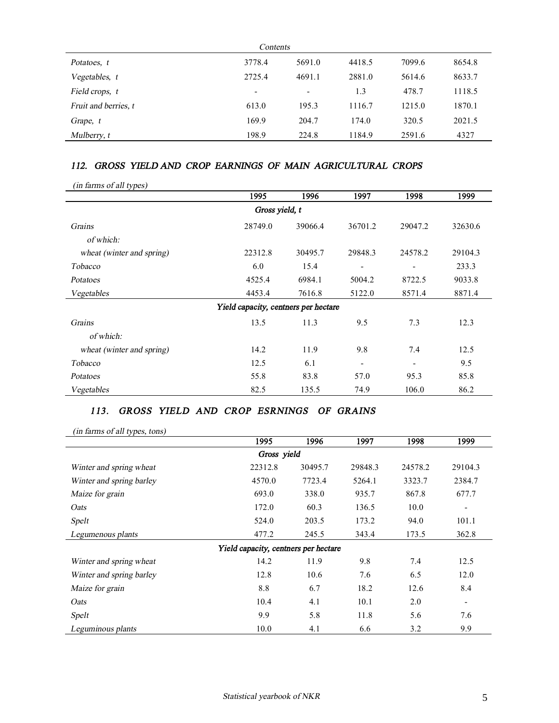| Contents             |        |                          |        |        |        |
|----------------------|--------|--------------------------|--------|--------|--------|
| Potatoes, t          | 3778.4 | 5691.0                   | 4418.5 | 7099.6 | 8654.8 |
| Vegetables, t        | 2725.4 | 4691.1                   | 2881.0 | 5614.6 | 8633.7 |
| Field crops, t       | ۰      | $\overline{\phantom{a}}$ | 1.3    | 478.7  | 1118.5 |
| Fruit and berries, t | 613.0  | 195.3                    | 1116.7 | 1215.0 | 1870.1 |
| Grape, t             | 169.9  | 204.7                    | 174.0  | 320.5  | 2021.5 |
| Mulberry, t          | 198.9  | 224.8                    | 1184.9 | 2591.6 | 4327   |

#### *112. GROSS YIELD AND CROP EARNINGS OF MAIN AGRICULTURAL CROPS*

*(in farms of all types)*

| . .                       | 1995                                 | 1996    | 1997    | 1998    | 1999    |  |  |  |
|---------------------------|--------------------------------------|---------|---------|---------|---------|--|--|--|
|                           | Gross yield, t                       |         |         |         |         |  |  |  |
| Grains                    | 28749.0                              | 39066.4 | 36701.2 | 29047.2 | 32630.6 |  |  |  |
| of which:                 |                                      |         |         |         |         |  |  |  |
| wheat (winter and spring) | 22312.8                              | 30495.7 | 29848.3 | 24578.2 | 29104.3 |  |  |  |
| <b>Tobacco</b>            | 6.0                                  | 15.4    | ۰       |         | 233.3   |  |  |  |
| Potatoes                  | 4525.4                               | 6984.1  | 5004.2  | 8722.5  | 9033.8  |  |  |  |
| Vegetables                | 4453.4                               | 7616.8  | 5122.0  | 8571.4  | 8871.4  |  |  |  |
|                           | Yield capacity, centners per hectare |         |         |         |         |  |  |  |
| Grains                    | 13.5                                 | 11.3    | 9.5     | 7.3     | 12.3    |  |  |  |
| of which:                 |                                      |         |         |         |         |  |  |  |
| wheat (winter and spring) | 14.2                                 | 11.9    | 9.8     | 7.4     | 12.5    |  |  |  |
| Tobacco                   | 12.5                                 | 6.1     | -       |         | 9.5     |  |  |  |
| Potatoes                  | 55.8                                 | 83.8    | 57.0    | 95.3    | 85.8    |  |  |  |
| Vegetables                | 82.5                                 | 135.5   | 74.9    | 106.0   | 86.2    |  |  |  |

#### *113. GROSS YIELD AND CROP ESRNINGS OF GRAINS*

*(in farms of all types, tons)*

| - -                      | 1995                                 | 1996    | 1997    | 1998    | 1999    |
|--------------------------|--------------------------------------|---------|---------|---------|---------|
|                          | Gross yield                          |         |         |         |         |
| Winter and spring wheat  | 22312.8                              | 30495.7 | 29848.3 | 24578.2 | 29104.3 |
| Winter and spring barley | 4570.0                               | 7723.4  | 5264.1  | 3323.7  | 2384.7  |
| Maize for grain          | 693.0                                | 338.0   | 935.7   | 867.8   | 677.7   |
| Oats                     | 172.0                                | 60.3    | 136.5   | 10.0    | -       |
| Spelt                    | 524.0                                | 203.5   | 173.2   | 94.0    | 101.1   |
| Legumenous plants        | 477.2                                | 245.5   | 343.4   | 173.5   | 362.8   |
|                          | Yield capacity, centners per hectare |         |         |         |         |
| Winter and spring wheat  | 14.2                                 | 11.9    | 9.8     | 7.4     | 12.5    |
| Winter and spring barley | 12.8                                 | 10.6    | 7.6     | 6.5     | 12.0    |
| Maize for grain          | 8.8                                  | 6.7     | 18.2    | 12.6    | 8.4     |
| Oats                     | 10.4                                 | 4.1     | 10.1    | 2.0     |         |
| Spelt                    | 9.9                                  | 5.8     | 11.8    | 5.6     | 7.6     |
| Leguminous plants        | 10.0                                 | 4.1     | 6.6     | 3.2     | 9.9     |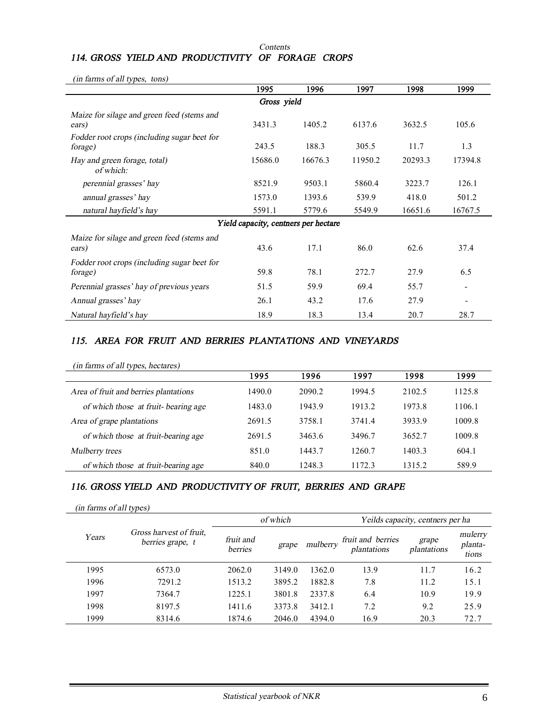#### *Contents 114. GROSS YIELD AND PRODUCTIVITY OF FORAGE CROPS*

*(in farms of all types, tons)*

|                                                        | 1995                                 | 1996    | 1997    | 1998    | 1999    |  |  |  |
|--------------------------------------------------------|--------------------------------------|---------|---------|---------|---------|--|--|--|
| Gross yield                                            |                                      |         |         |         |         |  |  |  |
| Maize for silage and green feed (stems and<br>ears)    | 3431.3                               | 1405.2  | 6137.6  | 3632.5  | 105.6   |  |  |  |
| Fodder root crops (including sugar beet for<br>forage) | 243.5                                | 188.3   | 305.5   | 11.7    | 1.3     |  |  |  |
| Hay and green forage, total)<br>of which:              | 15686.0                              | 16676.3 | 11950.2 | 20293.3 | 17394.8 |  |  |  |
| perennial grasses' hay                                 | 8521.9                               | 9503.1  | 5860.4  | 3223.7  | 126.1   |  |  |  |
| annual grasses' hay                                    | 1573.0                               | 1393.6  | 539.9   | 418.0   | 501.2   |  |  |  |
| natural hayfield's hay                                 | 5591.1                               | 5779.6  | 5549.9  | 16651.6 | 16767.5 |  |  |  |
|                                                        | Yield capacity, centners per hectare |         |         |         |         |  |  |  |
| Maize for silage and green feed (stems and<br>ears)    | 43.6                                 | 17.1    | 86.0    | 62.6    | 37.4    |  |  |  |
| Fodder root crops (including sugar beet for<br>forage) | 59.8                                 | 78.1    | 272.7   | 27.9    | 6.5     |  |  |  |
| Perennial grasses' hay of previous years               | 51.5                                 | 59.9    | 69.4    | 55.7    |         |  |  |  |
| Annual grasses' hay                                    | 26.1                                 | 43.2    | 17.6    | 27.9    |         |  |  |  |
| Natural hayfield's hay                                 | 18.9                                 | 18.3    | 13.4    | 20.7    | 28.7    |  |  |  |

### *115. AREA FOR FRUIT AND BERRIES PLANTATIONS AND VINEYARDS*

| (in farms of all types, hectares)     |        |        |        |        |        |
|---------------------------------------|--------|--------|--------|--------|--------|
|                                       | 1995   | 1996   | 1997   | 1998   | 1999   |
| Area of fruit and berries plantations | 1490.0 | 2090.2 | 1994.5 | 2102.5 | 1125.8 |
| of which those at fruit-bearing age   | 1483.0 | 1943.9 | 1913.2 | 1973.8 | 1106.1 |
| Area of grape plantations             | 2691.5 | 3758.1 | 3741.4 | 3933.9 | 1009.8 |
| of which those at fruit-bearing age   | 2691.5 | 3463.6 | 3496.7 | 3652.7 | 1009.8 |
| Mulberry trees                        | 851.0  | 1443.7 | 1260.7 | 1403.3 | 604.1  |
| of which those at fruit-bearing age   | 840.0  | 1248.3 | 1172.3 | 1315.2 | 589.9  |

### *116. GROSS YIELD AND PRODUCTIVITY OF FRUIT, BERRIES AND GRAPE*

*(in farms of all types)*

|       |                                             | of which             |        |          | Yeilds capacity, centners per ha |                      |                             |  |
|-------|---------------------------------------------|----------------------|--------|----------|----------------------------------|----------------------|-----------------------------|--|
| Years | Gross harvest of fruit.<br>berries grape, t | fruit and<br>berries | grape  | mulberry | fruit and berries<br>plantations | grape<br>plantations | mulerry<br>planta-<br>tions |  |
| 1995  | 6573.0                                      | 2062.0               | 3149.0 | 1362.0   | 13.9                             | 11.7                 | 16.2                        |  |
| 1996  | 7291.2                                      | 1513.2               | 3895.2 | 1882.8   | 7.8                              | 11.2                 | 15.1                        |  |
| 1997  | 7364.7                                      | 1225.1               | 3801.8 | 2337.8   | 6.4                              | 10.9                 | 19.9                        |  |
| 1998  | 8197.5                                      | 1411.6               | 3373.8 | 3412.1   | 7.2                              | 9.2                  | 25.9                        |  |
| 1999  | 8314.6                                      | 1874.6               | 2046.0 | 4394.0   | 16.9                             | 20.3                 | 72.7                        |  |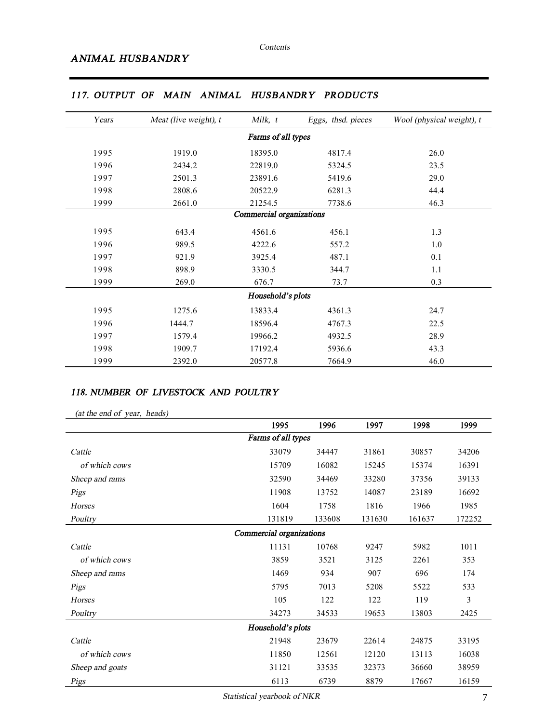| Years | Meat (live weight), t | Milk, t                  | Eggs, thsd. pieces | Wool (physical weight), t |
|-------|-----------------------|--------------------------|--------------------|---------------------------|
|       |                       | Farms of all types       |                    |                           |
| 1995  | 1919.0                | 18395.0                  | 4817.4             | 26.0                      |
| 1996  | 2434.2                | 22819.0                  | 5324.5             | 23.5                      |
| 1997  | 2501.3                | 23891.6                  | 5419.6             | 29.0                      |
| 1998  | 2808.6                | 20522.9                  | 6281.3             | 44.4                      |
| 1999  | 2661.0                | 21254.5                  | 7738.6             | 46.3                      |
|       |                       | Commercial organizations |                    |                           |
| 1995  | 643.4                 | 4561.6                   | 456.1              | 1.3                       |
| 1996  | 989.5                 | 4222.6                   | 557.2              | 1.0                       |
| 1997  | 921.9                 | 3925.4                   | 487.1              | 0.1                       |
| 1998  | 898.9                 | 3330.5                   | 344.7              | 1.1                       |
| 1999  | 269.0                 | 676.7                    | 73.7               | 0.3                       |
|       |                       | Household's plots        |                    |                           |
| 1995  | 1275.6                | 13833.4                  | 4361.3             | 24.7                      |
| 1996  | 1444.7                | 18596.4                  | 4767.3             | 22.5                      |
| 1997  | 1579.4                | 19966.2                  | 4932.5             | 28.9                      |
| 1998  | 1909.7                | 17192.4                  | 5936.6             | 43.3                      |
| 1999  | 2392.0                | 20577.8                  | 7664.9             | 46.0                      |

### *117. OUTPUT OF MAIN ANIMAL HUSBANDRY PRODUCTS*

#### *118. NUMBER OF LIVESTOCK AND POULTRY*

| (at the end of year, heads) |  |
|-----------------------------|--|
|-----------------------------|--|

|                          | 1995               | 1996   | 1997   | 1998   | 1999   |  |  |  |
|--------------------------|--------------------|--------|--------|--------|--------|--|--|--|
|                          | Farms of all types |        |        |        |        |  |  |  |
| Cattle                   | 33079              | 34447  | 31861  | 30857  | 34206  |  |  |  |
| of which cows            | 15709              | 16082  | 15245  | 15374  | 16391  |  |  |  |
| Sheep and rams           | 32590              | 34469  | 33280  | 37356  | 39133  |  |  |  |
| Pigs                     | 11908              | 13752  | 14087  | 23189  | 16692  |  |  |  |
| Horses                   | 1604               | 1758   | 1816   | 1966   | 1985   |  |  |  |
| Poultry                  | 131819             | 133608 | 131630 | 161637 | 172252 |  |  |  |
| Commercial organizations |                    |        |        |        |        |  |  |  |
| Cattle                   | 11131              | 10768  | 9247   | 5982   | 1011   |  |  |  |
| of which cows            | 3859               | 3521   | 3125   | 2261   | 353    |  |  |  |
| Sheep and rams           | 1469               | 934    | 907    | 696    | 174    |  |  |  |
| Pigs                     | 5795               | 7013   | 5208   | 5522   | 533    |  |  |  |
| Horses                   | 105                | 122    | 122    | 119    | 3      |  |  |  |
| Poultry                  | 34273              | 34533  | 19653  | 13803  | 2425   |  |  |  |
|                          | Household's plots  |        |        |        |        |  |  |  |
| Cattle                   | 21948              | 23679  | 22614  | 24875  | 33195  |  |  |  |
| of which cows            | 11850              | 12561  | 12120  | 13113  | 16038  |  |  |  |
| Sheep and goats          | 31121              | 33535  | 32373  | 36660  | 38959  |  |  |  |
| Pigs                     | 6113               | 6739   | 8879   | 17667  | 16159  |  |  |  |